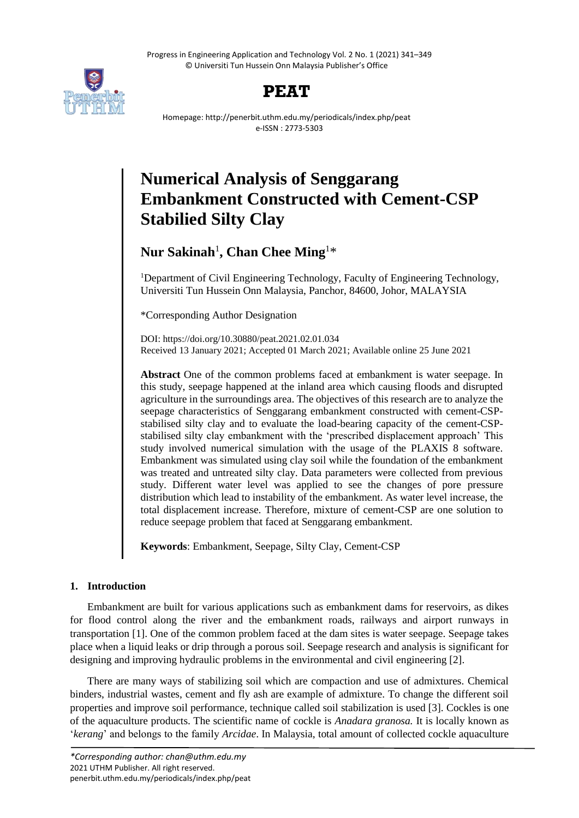Progress in Engineering Application and Technology Vol. 2 No. 1 (2021) 341–349 © Universiti Tun Hussein Onn Malaysia Publisher's Office





Homepage: http://penerbit.uthm.edu.my/periodicals/index.php/peat e-ISSN : 2773-5303

# **Numerical Analysis of Senggarang Embankment Constructed with Cement-CSP Stabilied Silty Clay**

# **Nur Sakinah**<sup>1</sup> **, Chan Chee Ming**<sup>1</sup>\*

<sup>1</sup>Department of Civil Engineering Technology, Faculty of Engineering Technology, Universiti Tun Hussein Onn Malaysia, Panchor, 84600, Johor, MALAYSIA

\*Corresponding Author Designation

DOI: https://doi.org/10.30880/peat.2021.02.01.034 Received 13 January 2021; Accepted 01 March 2021; Available online 25 June 2021

**Abstract** One of the common problems faced at embankment is water seepage. In this study, seepage happened at the inland area which causing floods and disrupted agriculture in the surroundings area. The objectives of this research are to analyze the seepage characteristics of Senggarang embankment constructed with cement-CSPstabilised silty clay and to evaluate the load-bearing capacity of the cement-CSPstabilised silty clay embankment with the 'prescribed displacement approach' This study involved numerical simulation with the usage of the PLAXIS 8 software. Embankment was simulated using clay soil while the foundation of the embankment was treated and untreated silty clay. Data parameters were collected from previous study. Different water level was applied to see the changes of pore pressure distribution which lead to instability of the embankment. As water level increase, the total displacement increase. Therefore, mixture of cement-CSP are one solution to reduce seepage problem that faced at Senggarang embankment.

**Keywords**: Embankment, Seepage, Silty Clay, Cement-CSP

# **1. Introduction**

Embankment are built for various applications such as embankment dams for reservoirs, as dikes for flood control along the river and the embankment roads, railways and airport runways in transportation [1]. One of the common problem faced at the dam sites is water seepage. Seepage takes place when a liquid leaks or drip through a porous soil. Seepage research and analysis is significant for designing and improving hydraulic problems in the environmental and civil engineering [2].

There are many ways of stabilizing soil which are compaction and use of admixtures. Chemical binders, industrial wastes, cement and fly ash are example of admixture. To change the different soil properties and improve soil performance, technique called soil stabilization is used [3]. Cockles is one of the aquaculture products. The scientific name of cockle is *Anadara granosa.* It is locally known as '*kerang*' and belongs to the family *Arcidae*. In Malaysia, total amount of collected cockle aquaculture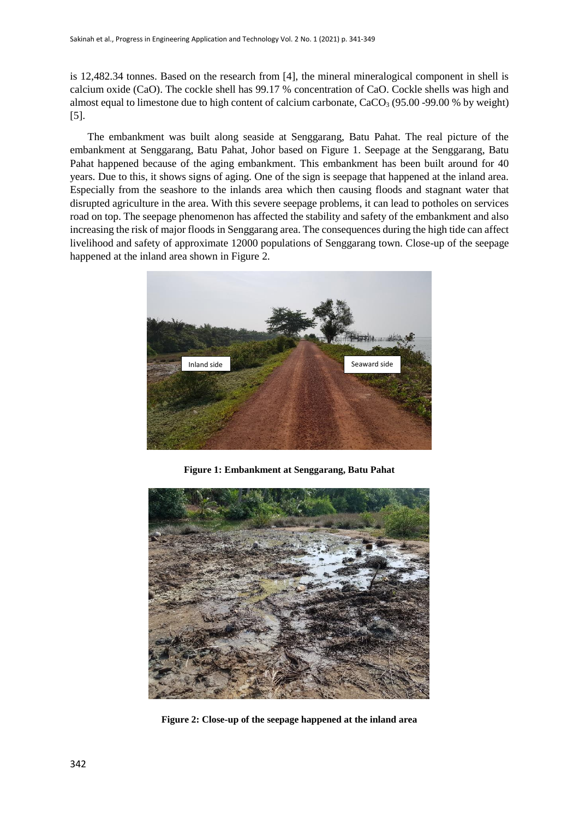is 12,482.34 tonnes. Based on the research from [4], the mineral mineralogical component in shell is calcium oxide (CaO). The cockle shell has 99.17 % concentration of CaO. Cockle shells was high and almost equal to limestone due to high content of calcium carbonate,  $CaCO<sub>3</sub>$  (95.00 -99.00 % by weight) [5].

The embankment was built along seaside at Senggarang, Batu Pahat. The real picture of the embankment at Senggarang, Batu Pahat, Johor based on Figure 1. Seepage at the Senggarang, Batu Pahat happened because of the aging embankment. This embankment has been built around for 40 years. Due to this, it shows signs of aging. One of the sign is seepage that happened at the inland area. Especially from the seashore to the inlands area which then causing floods and stagnant water that disrupted agriculture in the area. With this severe seepage problems, it can lead to potholes on services road on top. The seepage phenomenon has affected the stability and safety of the embankment and also increasing the risk of major floods in Senggarang area. The consequences during the high tide can affect livelihood and safety of approximate 12000 populations of Senggarang town. Close-up of the seepage happened at the inland area shown in Figure 2.



**Figure 1: Embankment at Senggarang, Batu Pahat**



**Figure 2: Close-up of the seepage happened at the inland area**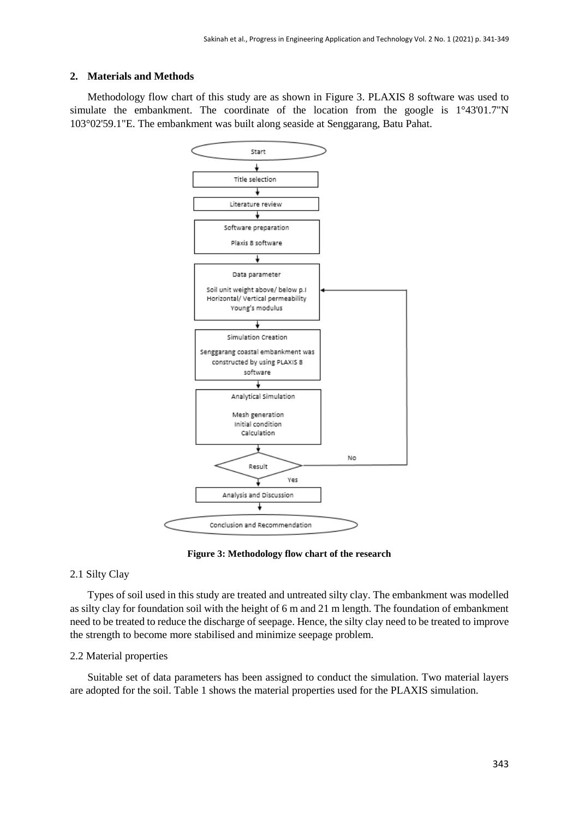# **2. Materials and Methods**

Methodology flow chart of this study are as shown in Figure 3. PLAXIS 8 software was used to simulate the embankment. The coordinate of the location from the google is 1°43'01.7"N 103°02'59.1"E. The embankment was built along seaside at Senggarang, Batu Pahat.



**Figure 3: Methodology flow chart of the research** 

# 2.1 Silty Clay

Types of soil used in this study are treated and untreated silty clay. The embankment was modelled as silty clay for foundation soil with the height of 6 m and 21 m length. The foundation of embankment need to be treated to reduce the discharge of seepage. Hence, the silty clay need to be treated to improve the strength to become more stabilised and minimize seepage problem.

## 2.2 Material properties

Suitable set of data parameters has been assigned to conduct the simulation. Two material layers are adopted for the soil. Table 1 shows the material properties used for the PLAXIS simulation.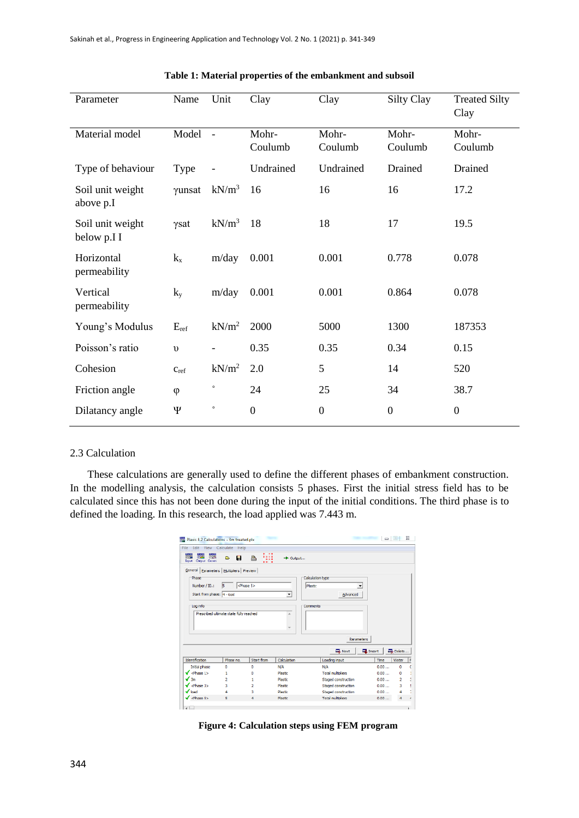| Parameter                       | Name       | Unit     | Clay             | Clay             | Silty Clay       | <b>Treated Silty</b><br>Clay |
|---------------------------------|------------|----------|------------------|------------------|------------------|------------------------------|
| Material model                  | Model      | $\sim$   | Mohr-<br>Coulumb | Mohr-<br>Coulumb | Mohr-<br>Coulumb | Mohr-<br>Coulumb             |
| Type of behaviour               | Type       |          | Undrained        | Undrained        | Drained          | Drained                      |
| Soil unit weight<br>above p.I   | γunsat     | $kN/m^3$ | 16               | 16               | 16               | 17.2                         |
| Soil unit weight<br>below p.I I | γsat       | $kN/m^3$ | 18               | 18               | 17               | 19.5                         |
| Horizontal<br>permeability      | $k_{x}$    | m/day    | 0.001            | 0.001            | 0.778            | 0.078                        |
| Vertical<br>permeability        | $k_y$      | m/day    | 0.001            | 0.001            | 0.864            | 0.078                        |
| Young's Modulus                 | $E_{ref}$  | $kN/m^2$ | 2000             | 5000             | 1300             | 187353                       |
| Poisson's ratio                 | $\upsilon$ |          | 0.35             | 0.35             | 0.34             | 0.15                         |
| Cohesion                        | Cref       | $kN/m^2$ | 2.0              | 5                | 14               | 520                          |
| Friction angle                  | $\varphi$  | $\circ$  | 24               | 25               | 34               | 38.7                         |
| Dilatancy angle                 | Ψ          | $\circ$  | $\boldsymbol{0}$ | $\mathbf{0}$     | $\mathbf{0}$     | $\boldsymbol{0}$             |

# **Table 1: Material properties of the embankment and subsoil**

# 2.3 Calculation

These calculations are generally used to define the different phases of embankment construction. In the modelling analysis, the calculation consists 5 phases. First the initial stress field has to be calculated since this has not been done during the input of the initial conditions. The third phase is to defined the loading. In this research, the load applied was 7.443 m.

|                                                                                                          | File Edit View Calculate Help           |                      |                |                          |                 |        |
|----------------------------------------------------------------------------------------------------------|-----------------------------------------|----------------------|----------------|--------------------------|-----------------|--------|
| <b>REA</b><br>Cappel Career<br><b>Toxas</b>                                                              | н<br>в                                  | ₩<br>≞               | D-Output       |                          |                 |        |
| General Parameters Multipliers Preview                                                                   |                                         |                      |                |                          |                 |        |
| Phase                                                                                                    |                                         |                      |                | Calculation type:        |                 |        |
| Number / ID.:                                                                                            | 15                                      | <phase 5=""></phase> |                | Plastic                  |                 |        |
|                                                                                                          |                                         |                      |                |                          |                 |        |
| Start from phase: 4 - load                                                                               |                                         |                      | ٠              | Advanced                 |                 |        |
| Log info                                                                                                 |                                         |                      |                | Comments                 |                 |        |
|                                                                                                          | Prescribed ultimate state fully reached |                      | ×              |                          |                 |        |
|                                                                                                          |                                         |                      |                |                          |                 |        |
|                                                                                                          |                                         |                      |                |                          |                 |        |
|                                                                                                          |                                         |                      |                |                          |                 |        |
|                                                                                                          |                                         |                      |                |                          |                 |        |
|                                                                                                          |                                         |                      |                |                          |                 |        |
|                                                                                                          |                                         |                      |                | <b>Parameters</b>        |                 |        |
|                                                                                                          |                                         |                      |                |                          |                 |        |
|                                                                                                          |                                         |                      |                | <b>Next</b>              | <b>E</b> Insert | Delete |
|                                                                                                          | Phase no.                               | Start from           | Calculation    | Loading input            | Time            | Water  |
| Initial phase                                                                                            | n                                       | o                    | <b>N/A</b>     | <b>N/A</b>               | 0.00            | ٥      |
|                                                                                                          | ٠                                       | n                    | Plastic        | <b>Total multipliers</b> | 0.00            | ٥      |
|                                                                                                          | <b>D</b>                                | ۴                    | <b>Plastic</b> | Staged construction      | 0.00            | 2      |
|                                                                                                          | а                                       | z.                   | Plastic        | Staged construction      | 0.00            | 3      |
| Identification<br>$\sqrt{$ <fluxe 1=""><br/>√ sm<br/>of cPhase 35<br/><math>\sqrt{\ }</math>load</fluxe> | 4                                       | ٩                    | Plastic        | Staged construction      | 0.00            | 4      |

**Figure 4: Calculation steps using FEM program**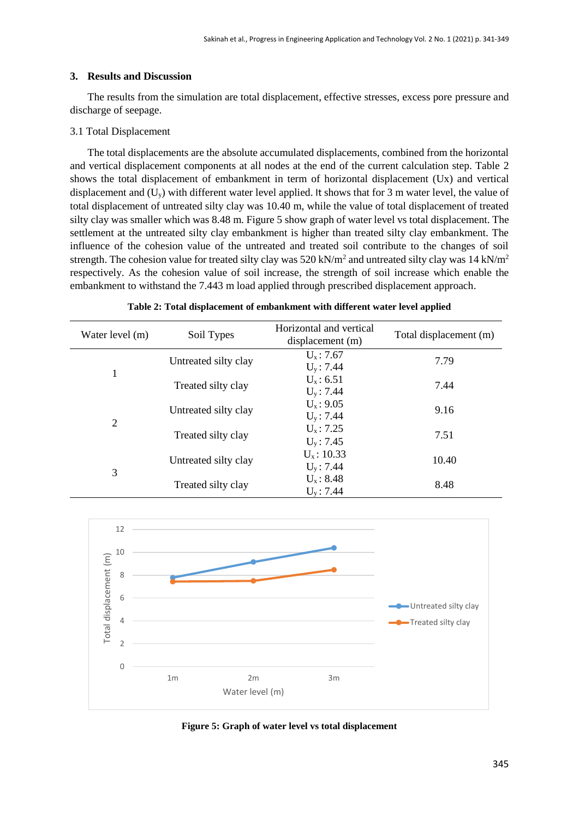#### **3. Results and Discussion**

The results from the simulation are total displacement, effective stresses, excess pore pressure and discharge of seepage.

#### 3.1 Total Displacement

The total displacements are the absolute accumulated displacements, combined from the horizontal and vertical displacement components at all nodes at the end of the current calculation step. Table 2 shows the total displacement of embankment in term of horizontal displacement (Ux) and vertical displacement and  $(U_y)$  with different water level applied. It shows that for 3 m water level, the value of total displacement of untreated silty clay was 10.40 m, while the value of total displacement of treated silty clay was smaller which was 8.48 m. Figure 5 show graph of water level vs total displacement. The settlement at the untreated silty clay embankment is higher than treated silty clay embankment. The influence of the cohesion value of the untreated and treated soil contribute to the changes of soil strength. The cohesion value for treated silty clay was 520 kN/m<sup>2</sup> and untreated silty clay was 14 kN/m<sup>2</sup> respectively. As the cohesion value of soil increase, the strength of soil increase which enable the embankment to withstand the 7.443 m load applied through prescribed displacement approach.

| Water level (m) | Soil Types           | Horizontal and vertical<br>displacement (m) | Total displacement (m) |
|-----------------|----------------------|---------------------------------------------|------------------------|
|                 | Untreated silty clay | $U_{x}$ : 7.67                              | 7.79                   |
| 1               |                      | $U_v$ : 7.44                                |                        |
|                 | Treated silty clay   | $U_{x}: 6.51$                               | 7.44                   |
|                 |                      | $U_v$ : 7.44                                |                        |
|                 |                      | $U_{x}$ : 9.05                              |                        |
|                 | Untreated silty clay | $U_v$ : 7.44                                | 9.16                   |
| 2               |                      | $U_x: 7.25$                                 |                        |
|                 | Treated silty clay   | $U_v$ : 7.45                                | 7.51                   |
| 3               | Untreated silty clay | $U_x$ : 10.33                               |                        |
|                 |                      | $U_v$ : 7.44                                | 10.40                  |
|                 | Treated silty clay   | $U_x$ : 8.48                                |                        |
|                 |                      | $U_v$ : 7.44                                | 8.48                   |

**Table 2: Total displacement of embankment with different water level applied**



**Figure 5: Graph of water level vs total displacement**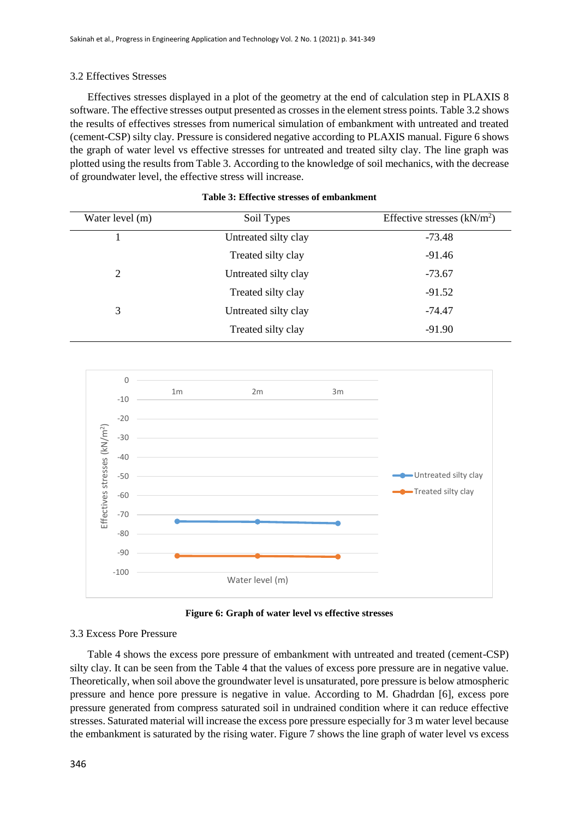# 3.2 Effectives Stresses

Effectives stresses displayed in a plot of the geometry at the end of calculation step in PLAXIS 8 software. The effective stresses output presented as crosses in the element stress points. Table 3.2 shows the results of effectives stresses from numerical simulation of embankment with untreated and treated (cement-CSP) silty clay. Pressure is considered negative according to PLAXIS manual. Figure 6 shows the graph of water level vs effective stresses for untreated and treated silty clay. The line graph was plotted using the results from Table 3. According to the knowledge of soil mechanics, with the decrease of groundwater level, the effective stress will increase.

| Water level (m) | Soil Types           | Effective stresses $(kN/m2)$ |
|-----------------|----------------------|------------------------------|
|                 | Untreated silty clay | $-73.48$                     |
|                 | Treated silty clay   | $-91.46$                     |
| 2               | Untreated silty clay | $-73.67$                     |
|                 | Treated silty clay   | $-91.52$                     |
| 3               | Untreated silty clay | -74.47                       |
|                 | Treated silty clay   | $-91.90$                     |

#### **Table 3: Effective stresses of embankment**



**Figure 6: Graph of water level vs effective stresses**

# 3.3 Excess Pore Pressure

Table 4 shows the excess pore pressure of embankment with untreated and treated (cement-CSP) silty clay. It can be seen from the Table 4 that the values of excess pore pressure are in negative value. Theoretically, when soil above the groundwater level is unsaturated, pore pressure is below atmospheric pressure and hence pore pressure is negative in value. According to M. Ghadrdan [6], excess pore pressure generated from compress saturated soil in undrained condition where it can reduce effective stresses. Saturated material will increase the excess pore pressure especially for 3 m water level because the embankment is saturated by the rising water. Figure 7 shows the line graph of water level vs excess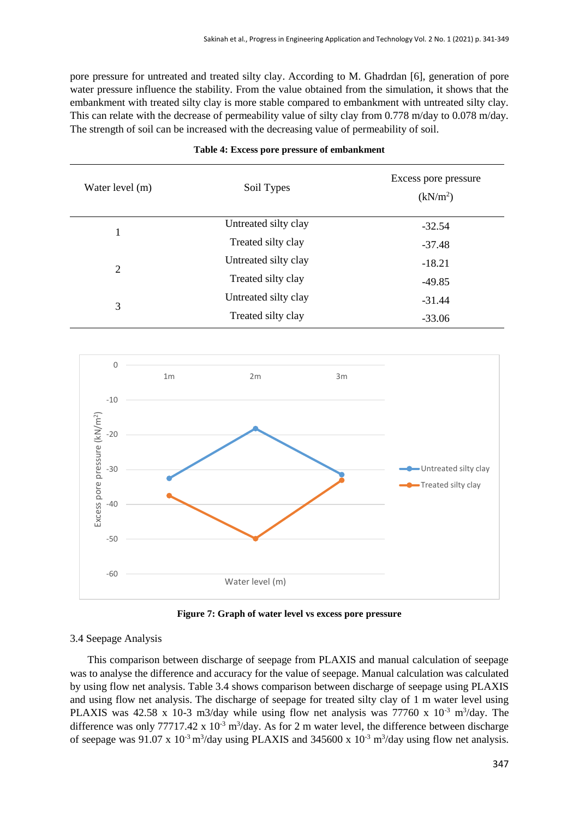pore pressure for untreated and treated silty clay. According to M. Ghadrdan [6], generation of pore water pressure influence the stability. From the value obtained from the simulation, it shows that the embankment with treated silty clay is more stable compared to embankment with untreated silty clay. This can relate with the decrease of permeability value of silty clay from 0.778 m/day to 0.078 m/day. The strength of soil can be increased with the decreasing value of permeability of soil.

| Water level (m) | Soil Types           | Excess pore pressure<br>(kN/m <sup>2</sup> ) |
|-----------------|----------------------|----------------------------------------------|
|                 | Untreated silty clay | $-32.54$                                     |
|                 | Treated silty clay   | $-37.48$                                     |
| 2               | Untreated silty clay | $-18.21$                                     |
|                 | Treated silty clay   | $-49.85$                                     |
| 3               | Untreated silty clay | $-31.44$                                     |
|                 | Treated silty clay   | $-33.06$                                     |

#### **Table 4: Excess pore pressure of embankment**



**Figure 7: Graph of water level vs excess pore pressure**

## 3.4 Seepage Analysis

This comparison between discharge of seepage from PLAXIS and manual calculation of seepage was to analyse the difference and accuracy for the value of seepage. Manual calculation was calculated by using flow net analysis. Table 3.4 shows comparison between discharge of seepage using PLAXIS and using flow net analysis. The discharge of seepage for treated silty clay of 1 m water level using PLAXIS was 42.58 x 10-3 m3/day while using flow net analysis was 77760 x  $10^{-3}$  m<sup>3</sup>/day. The difference was only 77717.42 x  $10^{-3}$  m<sup>3</sup>/day. As for 2 m water level, the difference between discharge of seepage was  $91.07 \times 10^{-3}$  m<sup>3</sup>/day using PLAXIS and 345600 x  $10^{-3}$  m<sup>3</sup>/day using flow net analysis.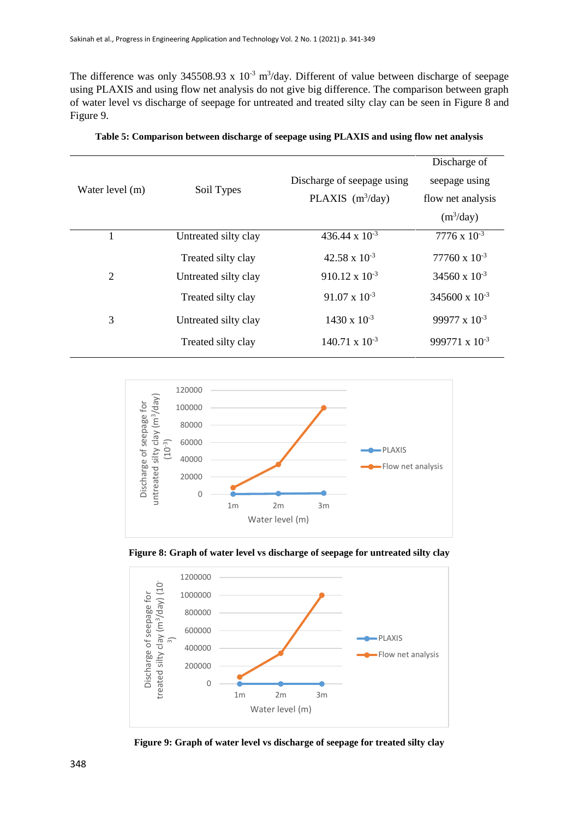The difference was only 345508.93 x  $10^{-3}$  m<sup>3</sup>/day. Different of value between discharge of seepage using PLAXIS and using flow net analysis do not give big difference. The comparison between graph of water level vs discharge of seepage for untreated and treated silty clay can be seen in Figure 8 and Figure 9.

|                 |                      |                            | Discharge of            |
|-----------------|----------------------|----------------------------|-------------------------|
| Water level (m) |                      | Discharge of seepage using | seepage using           |
|                 | Soil Types           | PLAXIS $(m^3/day)$         | flow net analysis       |
|                 |                      |                            | $(m^3/day)$             |
| 1               | Untreated silty clay | 436.44 x $10^{-3}$         | $7776 \times 10^{-3}$   |
|                 | Treated silty clay   | $42.58 \times 10^{-3}$     | $77760 \times 10^{-3}$  |
| 2               | Untreated silty clay | $910.12 \times 10^{-3}$    | 34560 x $10^{-3}$       |
|                 | Treated silty clay   | $91.07 \times 10^{-3}$     | $345600 \times 10^{-3}$ |
| 3               | Untreated silty clay | $1430 \times 10^{-3}$      | 99977 x $10^{-3}$       |
|                 | Treated silty clay   | $140.71 \times 10^{-3}$    | 999771 x $10^{-3}$      |
|                 |                      |                            |                         |

**Table 5: Comparison between discharge of seepage using PLAXIS and using flow net analysis**



**Figure 8: Graph of water level vs discharge of seepage for untreated silty clay**



**Figure 9: Graph of water level vs discharge of seepage for treated silty clay**